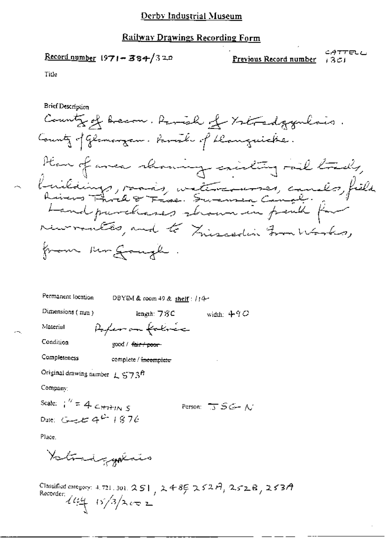#### Railway Drawings Recording Form

Record number 1971-384/320

CATTELL Preyious Record number 1301

Title

Brief Description

County of Arecon. Ranish of Ystradgymenis. County of Glomorgan. Family of Deanguicke. Have of avec showing existing rail tracks, Knikkings, raads, witchermannes, candes, field recommented, and to Zuiscedin From Works, from Mr Gough

Permanent location DBYIM & room 49 & shelf: //4-Dimensions (mm) length:  $78C$ width:  $490$ Arfeman falmer Material Condition good / fair poor Completeness complete / incomplete Original drawing number  $L$  S 73ft Company:

Scale:  $\int_1^{\pi}$  = 4  $\epsilon$  +  $\tau$  +  $\eta$  5 Person:  $\overline{J}$   $\tilde{S}$   $\tilde{G}$  +  $\Lambda$ Dute:  $G = 4^{2} + 876$ 

Place.

Yotrad galais

Classified category: 4.721.301. 251, 2485 252A, 252B, 253A Recorder:  $\frac{1}{4}$  15/3/2002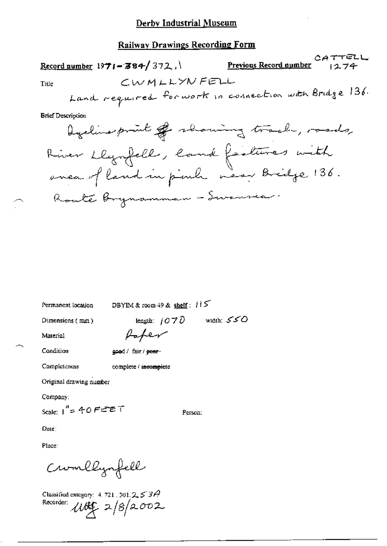#### Railway Drawings Recording Form

Permanent location DBYIM & room 49 & shelf:  $115$ 

Dimensions (mm)

length:  $1070$  width:  $550$ 

Material

Condition

Completeness

good / fair / poer-

Paper

complete / incomplete

Original drawing number

Company:

Scale:  $1'' = 40$  FEET

Person:

Date:

Place:

Cromllynfell

Classified category: 4, 721, 301,  $2 \leq 30$ Recorder:  $100 - 2/8 = 002$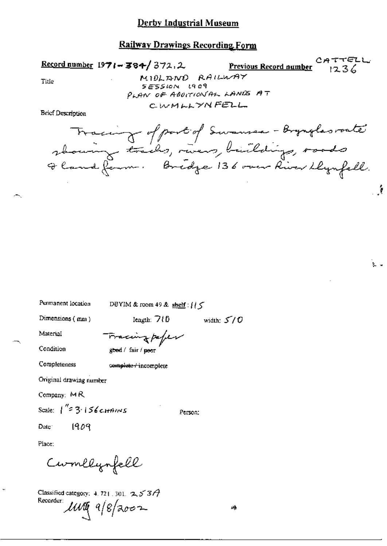#### **Railway Drawings Recording Form**

CATTELL  $Record number$  1971 - 384/372.2 Previous Record number  $1236$ MIDLAND RAILWAY Title SESSION LACA PLAN OF ABOITION AL LANDS AT CWMLLYNFELL **Brief Description** Tracing of part of Surannea - Brynglas route

showing trails, rivers, buildings, roads

Oland farm. Bridge 136 over River Llynfell.

 $\mathcal{L}$ 

٤.,

Permanent location DBYIM & room 49 & shelf :  $\int$  /  $\zeta$ 

Dimensions (mm)

league:  $7(0)$ width:  $5/0$ 

Condition

Completeness

Material

good / fair / peor

Fracing paper

complete / incomplete

Original drawing number

Company: MR

Scale:  $1^{''}$  = 3.156 c HAINS

Person:

1909 Date:

Place:

Cumllynfell

Classified category: 4.721, 301,  $253A$ Recorder:  $\mathcal{U} \mathcal{U} \mathcal{U}$  a/8/2002

r4.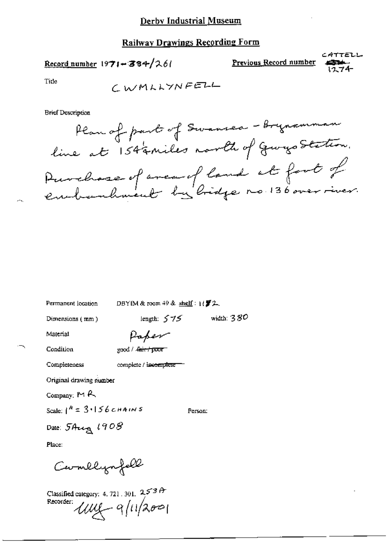# **Railway Drawings Recording Form**

# Record number 1971-384/261

CATTELL Previous Record number

Title

**Brief Description** 

DBYIM & room 49 & shelf:  $1/\sqrt{3}$  2.

Dimensions (mm)

Permanent location

length:  $575$  width:  $380$ 

Material

Paper

Condition

Completeness

good / <del>Jain / poor</del>

complete / incomplete

Original drawing number

Company: MR

Scale:  $1^h = 3.156$  cHAINS

Person:

Date: 5 Aug 1908

Place:

Carmelynfell

Classified category: 4.721.301.  $2537$ <br>Recorder:  $\mathcal{UU}$   $\left(-9/1/257\right)$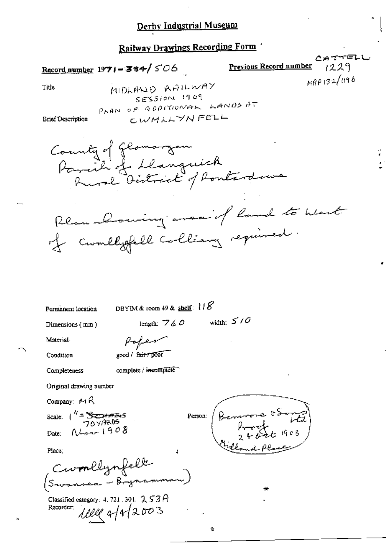# Railway Drawings Recording Form

Record number  $1971 - 384 / 506$ 

CATTELL Previous Record number  $1229$  $R89132/1196$ 

Title

MIDLAND RAILWAY SESSION 1909 PAAN OF ADDITIONAL LANDS AT CWMLLYNFELL

**Brief Description** 

County of Glamorgan<br>Parail of Llanguick<br>Rural Destreict of Pontardown Rlan Doming area of land to west of comelysfull colliancy required.

Permanent location

DBYIM & room  $49$  & shelf :  $118$ 

Dimensions (mm)

width:  $\leq$  /  $\bar{O}$ length:  $760$ 

۰h

Material

frafen good / fair / poor

Condition

Completeness

complete / incomplete

Original drawing number

Company:  $MA$ 

Scale:  $1^{1/2}$  SCOPERS  $N_{\text{corr}}1908$ Date:

Place:

Cwmllynfelk<br>Swannea - Brynamm

Classified category: 4, 721, 301,  $253A$ 1111 4/4/2003 Recorder.

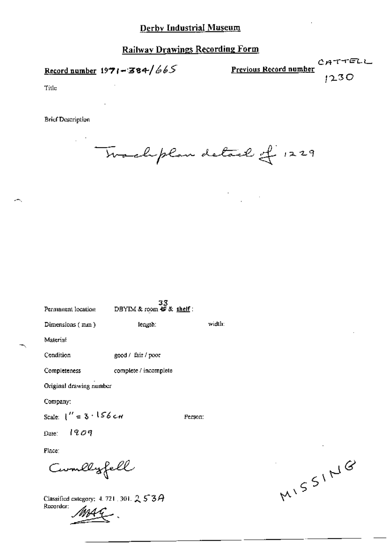# **Railway Drawings Recording Form**

Record number  $1971 - 384/665$ 

 $CATTELL$ Previous Record number  $1230$ 

Title

**Brief Description** 

Two chplan detail of 1229

 $\frac{1}{2}$  ,  $\frac{1}{2}$  ,  $\frac{1}{2}$ 

| Permanent location            | 33<br>DBYIM & room <b>+D</b> & shelf : |         |        |
|-------------------------------|----------------------------------------|---------|--------|
| Dimensions (mm)               | length:                                |         | width: |
| Material                      |                                        |         |        |
| Condition                     | good / fair / poor                     |         |        |
| <b>Completeness</b>           | complete / incomplete                  |         |        |
| Original drawing number       |                                        |         |        |
| Company:                      |                                        |         |        |
| Scale: $1'' = 3 \cdot 156$ cm |                                        | Person: |        |
| Date: $1909$                  |                                        |         |        |
| Place:                        |                                        |         |        |
| Cumllyfell                    |                                        |         |        |

Classified category: 4, 721, 301,  $253A$ Recorder:

MISSING